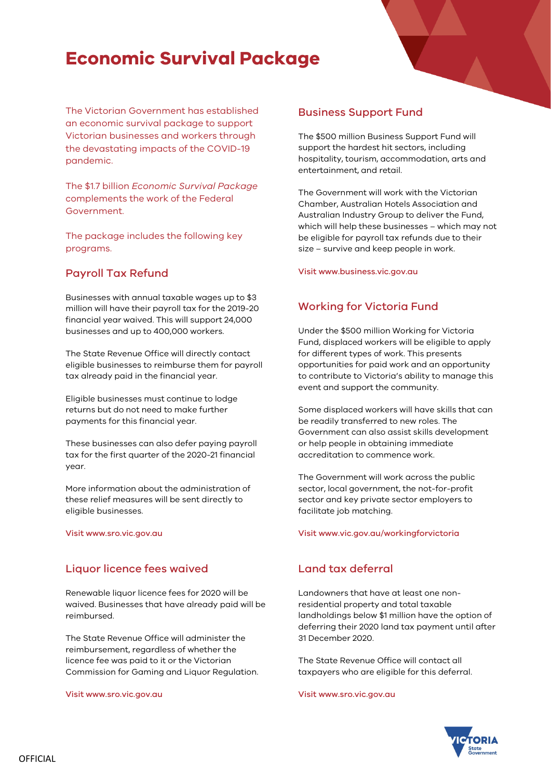# **Economic Survival Package**

The Victorian Government has established an economic survival package to support Victorian businesses and workers through the devastating impacts of the COVID-19 pandemic.

The \$1.7 billion *Economic Survival Package* complements the work of the Federal Government.

The package includes the following key programs.

### Payroll Tax Refund

Businesses with annual taxable wages up to \$3 million will have their payroll tax for the 2019-20 financial year waived. This will support 24,000 businesses and up to 400,000 workers.

The State Revenue Office will directly contact eligible businesses to reimburse them for payroll tax already paid in the financial year.

Eligible businesses must continue to lodge returns but do not need to make further payments for this financial year.

These businesses can also defer paying payroll tax for the first quarter of the 2020-21 financial year.

More information about the administration of these relief measures will be sent directly to eligible businesses.

Visit www.sro.vic.gov.au

### Liquor licence fees waived

Renewable liquor licence fees for 2020 will be waived. Businesses that have already paid will be reimbursed.

The State Revenue Office will administer the reimbursement, regardless of whether the licence fee was paid to it or the Victorian Commission for Gaming and Liquor Regulation.

Visit www.sro.vic.gov.au

### Business Support Fund

The \$500 million Business Support Fund will support the hardest hit sectors, including hospitality, tourism, accommodation, arts and entertainment, and retail.

The Government will work with the Victorian Chamber, Australian Hotels Association and Australian Industry Group to deliver the Fund, which will help these businesses – which may not be eligible for payroll tax refunds due to their size – survive and keep people in work.

Visit www.business.vic.gov.au

### Working for Victoria Fund

Under the \$500 million Working for Victoria Fund, displaced workers will be eligible to apply for different types of work. This presents opportunities for paid work and an opportunity to contribute to Victoria's ability to manage this event and support the community.

Some displaced workers will have skills that can be readily transferred to new roles. The Government can also assist skills development or help people in obtaining immediate accreditation to commence work.

The Government will work across the public sector, local government, the not-for-profit sector and key private sector employers to facilitate job matching.

Visit www.vic.gov.au/workingforvictoria

### Land tax deferral

Landowners that have at least one nonresidential property and total taxable landholdings below \$1 million have the option of deferring their 2020 land tax payment until after 31 December 2020.

The State Revenue Office will contact all taxpayers who are eligible for this deferral.

Visit www.sro.vic.gov.au